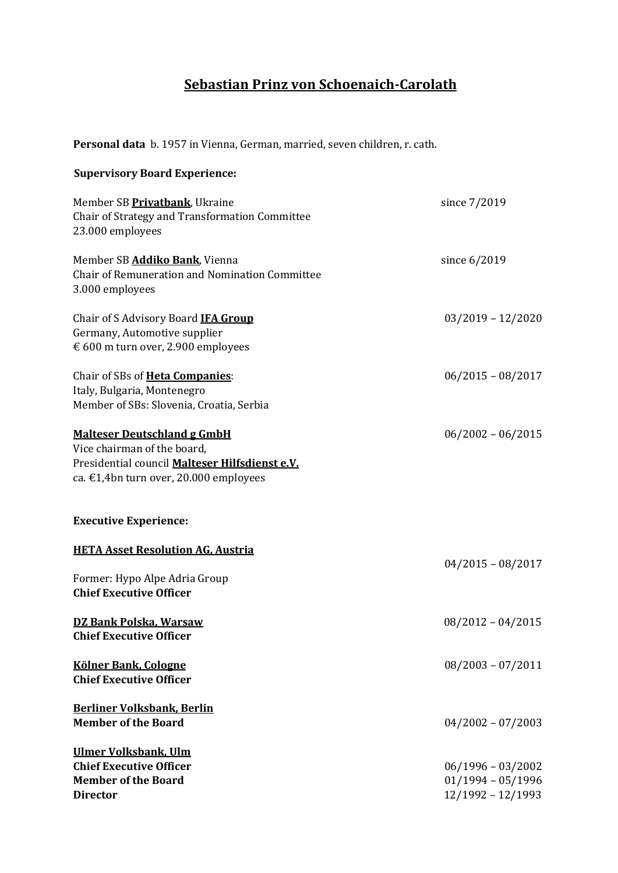## **Sebastian Prinz von Schoenaich-Carolath**

**Personal data** b. 1957 in Vienna, German, married, seven children, r. cath.

## **Supervisory Board Experience:** Member SB **Privatbank**, Ukraine **since** 7/2019 Chair of Strategy and Transformation Committee 23.000 employees Member SB **Addiko Bank**, Vienna since 6/2019 Chair of Remuneration and Nomination Committee 3.000 employees Chair of S Advisory Board **IFA Group** 63/2019 - 12/2020 Germany, Automotive supplier € 600 m turn over, 2.900 employees Chair of SBs of **Heta Companies**: 06/2015 - 08/2017 Italy, Bulgaria, Montenegro Member of SBs: Slovenia, Croatia, Serbia **Malteser Deutschland g GmbH** 06/2002 – 06/2015 Vice chairman of the board, Presidential council **Malteser Hilfsdienst e.V.** ca. €1,4bn turn over, 20.000 employees **Executive Experience: HETA Asset Resolution AG, Austria**  $04/2015 - 08/2017$ Former: Hypo Alpe Adria Group **Chief Executive Officer DZ Bank Polska, Warsaw** 08/2012 – 04/2015 **Chief Executive Officer Kölner Bank, Cologne 1888 Cologne 1888 Cologne 1888 Cologne 1888 Cologne 1888 Cologne 1888 Cologne 1888 Cologne 1888 Cologne 1888 Cologne 1888 Cologne 1888 Cologne 1888 Colo Chief Executive Officer Berliner Volksbank, Berlin Member of the Board** 04/2002 – 07/2003 **Ulmer Volksbank, Ulm Chief Executive Officer 18.12002 Chief Executive Officer 18.12002 Chief Executive Officer Member of the Board** 01/1994 – 05/1996 **Director**  $12/1992 - 12/1993$